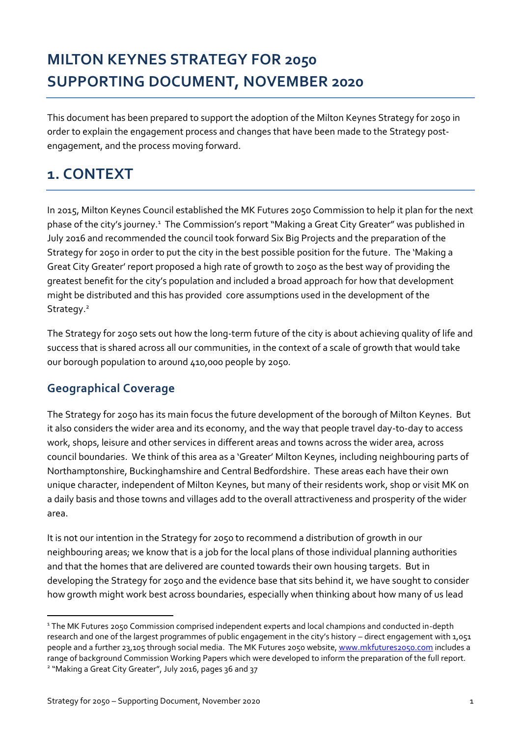# **MILTON KEYNES STRATEGY FOR 2050 SUPPORTING DOCUMENT, NOVEMBER 2020**

This document has been prepared to support the adoption of the Milton Keynes Strategy for 2050 in order to explain the engagement process and changes that have been made to the Strategy postengagement, and the process moving forward.

## **1. CONTEXT**

In 2015, Milton Keynes Council established the MK Futures 2050 Commission to help it plan for the next phase of the city's journey.<sup>1</sup> The Commission's report "Making a Great City Greater" was published in July 2016 and recommended the council took forward Six Big Projects and the preparation of the Strategy for 2050 in order to put the city in the best possible position for the future. The 'Making a Great City Greater' report proposed a high rate of growth to 2050 as the best way of providing the greatest benefit for the city's population and included a broad approach for how that development might be distributed and this has provided core assumptions used in the development of the Strategy.<sup>2</sup>

The Strategy for 2050 sets out how the long-term future of the city is about achieving quality of life and success that is shared across all our communities, in the context of a scale of growth that would take our borough population to around 410,000 people by 2050.

## **Geographical Coverage**

The Strategy for 2050 has its main focus the future development of the borough of Milton Keynes. But it also considers the wider area and its economy, and the way that people travel day-to-day to access work, shops, leisure and other services in different areas and towns across the wider area, across council boundaries. We think of this area as a 'Greater' Milton Keynes, including neighbouring parts of Northamptonshire, Buckinghamshire and Central Bedfordshire. These areas each have their own unique character, independent of Milton Keynes, but many of their residents work, shop or visit MK on a daily basis and those towns and villages add to the overall attractiveness and prosperity of the wider area.

It is not our intention in the Strategy for 2050 to recommend a distribution of growth in our neighbouring areas; we know that is a job for the local plans of those individual planning authorities and that the homes that are delivered are counted towards their own housing targets. But in developing the Strategy for 2050 and the evidence base that sits behind it, we have sought to consider how growth might work best across boundaries, especially when thinking about how many of us lead

<sup>1</sup> The MK Futures 2050 Commission comprised independent experts and local champions and conducted in-depth research and one of the largest programmes of public engagement in the city's history – direct engagement with 1,051 people and a further 23,105 through social media. The MK Futures 2050 website[, www.mkfutures2050.com](http://www.mkfutures2050.com/) includes a range of background Commission Working Papers which were developed to inform the preparation of the full report. <sup>2</sup> "Making a Great City Greater", July 2016, pages 36 and 37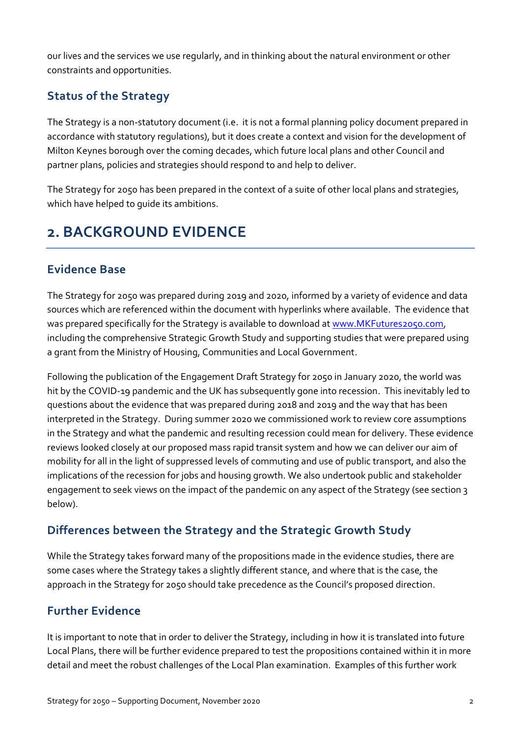our lives and the services we use regularly, and in thinking about the natural environment or other constraints and opportunities.

## **Status of the Strategy**

The Strategy is a non-statutory document (i.e. it is not a formal planning policy document prepared in accordance with statutory regulations), but it does create a context and vision for the development of Milton Keynes borough over the coming decades, which future local plans and other Council and partner plans, policies and strategies should respond to and help to deliver.

The Strategy for 2050 has been prepared in the context of a suite of other local plans and strategies, which have helped to guide its ambitions.

## **2. BACKGROUND EVIDENCE**

### **Evidence Base**

The Strategy for 2050 was prepared during 2019 and 2020, informed by a variety of evidence and data sources which are referenced within the document with hyperlinks where available. The evidence that was prepared specifically for the Strategy is available to download at [www.MKFutures2050.com,](http://www.mkfutures2050.com/) including the comprehensive Strategic Growth Study and supporting studies that were prepared using a grant from the Ministry of Housing, Communities and Local Government.

Following the publication of the Engagement Draft Strategy for 2050 in January 2020, the world was hit by the COVID-19 pandemic and the UK has subsequently gone into recession. This inevitably led to questions about the evidence that was prepared during 2018 and 2019 and the way that has been interpreted in the Strategy. During summer 2020 we commissioned work to review core assumptions in the Strategy and what the pandemic and resulting recession could mean for delivery. These evidence reviews looked closely at our proposed mass rapid transit system and how we can deliver our aim of mobility for all in the light of suppressed levels of commuting and use of public transport, and also the implications of the recession for jobs and housing growth. We also undertook public and stakeholder engagement to seek views on the impact of the pandemic on any aspect of the Strategy (see section 3 below).

### **Differences between the Strategy and the Strategic Growth Study**

While the Strategy takes forward many of the propositions made in the evidence studies, there are some cases where the Strategy takes a slightly different stance, and where that is the case, the approach in the Strategy for 2050 should take precedence as the Council's proposed direction.

### **Further Evidence**

It is important to note that in order to deliver the Strategy, including in how it is translated into future Local Plans, there will be further evidence prepared to test the propositions contained within it in more detail and meet the robust challenges of the Local Plan examination. Examples of this further work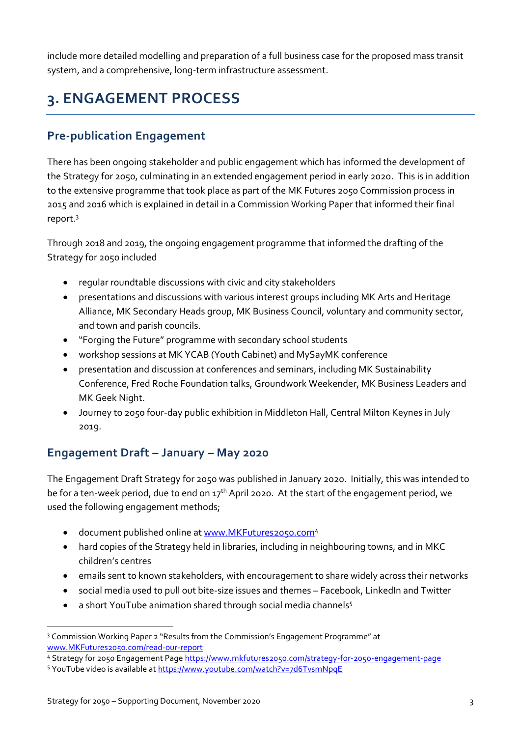include more detailed modelling and preparation of a full business case for the proposed mass transit system, and a comprehensive, long-term infrastructure assessment.

# **3. ENGAGEMENT PROCESS**

### **Pre-publication Engagement**

There has been ongoing stakeholder and public engagement which has informed the development of the Strategy for 2050, culminating in an extended engagement period in early 2020. This is in addition to the extensive programme that took place as part of the MK Futures 2050 Commission process in 2015 and 2016 which is explained in detail in a Commission Working Paper that informed their final report.<sup>3</sup>

Through 2018 and 2019, the ongoing engagement programme that informed the drafting of the Strategy for 2050 included

- regular roundtable discussions with civic and city stakeholders
- presentations and discussions with various interest groups including MK Arts and Heritage Alliance, MK Secondary Heads group, MK Business Council, voluntary and community sector, and town and parish councils.
- "Forging the Future" programme with secondary school students
- workshop sessions at MK YCAB (Youth Cabinet) and MySayMK conference
- presentation and discussion at conferences and seminars, including MK Sustainability Conference, Fred Roche Foundation talks, Groundwork Weekender, MK Business Leaders and MK Geek Night.
- Journey to 2050 four-day public exhibition in Middleton Hall, Central Milton Keynes in July 2019.

### **Engagement Draft – January – May 2020**

The Engagement Draft Strategy for 2050 was published in January 2020. Initially, this was intended to be for a ten-week period, due to end on 17<sup>th</sup> April 2020. At the start of the engagement period, we used the following engagement methods;

- document published online at [www.MKFutures2050.com](http://www.mkfutures2050.com/)<sup>4</sup>
- hard copies of the Strategy held in libraries, including in neighbouring towns, and in MKC children's centres
- emails sent to known stakeholders, with encouragement to share widely across their networks
- social media used to pull out bite-size issues and themes Facebook, LinkedIn and Twitter
- a short YouTube animation shared through social media channels<sup>5</sup>

<sup>3</sup> Commission Working Paper 2 "Results from the Commission's Engagement Programme" at [www.MKFutures2050.com/read-our-report](https://ddd3d78e-749e-4b55-9eee-73303fdcb896.filesusr.com/ugd/02d3f7_fbc9d7accd5644adbfbe15263a854ca4.pdf)

<sup>4</sup> Strategy for 2050 Engagement Pag[e https://www.mkfutures2050.com/strategy-for-2050-engagement-page](https://www.mkfutures2050.com/strategy-for-2050-engagement-page)

<sup>5</sup> YouTube video is available a[t https://www.youtube.com/watch?v=7d6TvsmNpqE](https://www.youtube.com/watch?v=7d6TvsmNpqE)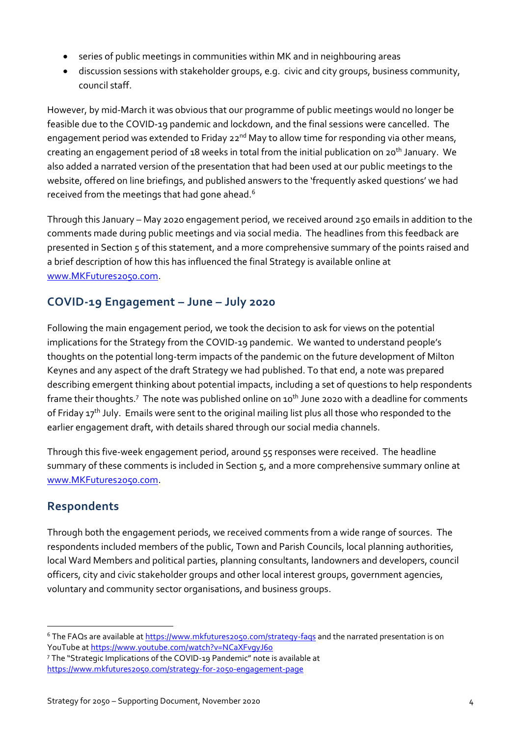- series of public meetings in communities within MK and in neighbouring areas
- discussion sessions with stakeholder groups, e.g. civic and city groups, business community, council staff.

However, by mid-March it was obvious that our programme of public meetings would no longer be feasible due to the COVID-19 pandemic and lockdown, and the final sessions were cancelled. The engagement period was extended to Friday 22<sup>nd</sup> May to allow time for responding via other means, creating an engagement period of 18 weeks in total from the initial publication on 20<sup>th</sup> January. We also added a narrated version of the presentation that had been used at our public meetings to the website, offered on line briefings, and published answers to the 'frequently asked questions' we had received from the meetings that had gone ahead.<sup>6</sup>

Through this January – May 2020 engagement period, we received around 250 emails in addition to the comments made during public meetings and via social media. The headlines from this feedback are presented in Section 5 of this statement, and a more comprehensive summary of the points raised and a brief description of how this has influenced the final Strategy is available online at [www.MKFutures2050.com.](http://www.mkfutures2050.com/)

### **COVID-19 Engagement – June – July 2020**

Following the main engagement period, we took the decision to ask for views on the potential implications for the Strategy from the COVID-19 pandemic. We wanted to understand people's thoughts on the potential long-term impacts of the pandemic on the future development of Milton Keynes and any aspect of the draft Strategy we had published. To that end, a note was prepared describing emergent thinking about potential impacts, including a set of questions to help respondents frame their thoughts.<sup>7</sup> The note was published online on 10<sup>th</sup> June 2020 with a deadline for comments of Friday 17<sup>th</sup> July. Emails were sent to the original mailing list plus all those who responded to the earlier engagement draft, with details shared through our social media channels.

Through this five-week engagement period, around 55 responses were received. The headline summary of these comments is included in Section 5, and a more comprehensive summary online at [www.MKFutures2050.com.](http://www.mkfutures2050.com/)

## **Respondents**

Through both the engagement periods, we received comments from a wide range of sources. The respondents included members of the public, Town and Parish Councils, local planning authorities, local Ward Members and political parties, planning consultants, landowners and developers, council officers, city and civic stakeholder groups and other local interest groups, government agencies, voluntary and community sector organisations, and business groups.

<sup>&</sup>lt;sup>6</sup> The FAQs are available a[t https://www.mkfutures2050.com/strategy-faqs](https://www.mkfutures2050.com/strategy-faqs) and the narrated presentation is on YouTube at<https://www.youtube.com/watch?v=NCaXFvgyJ60>

<sup>7</sup> The "Strategic Implications of the COVID-19 Pandemic" note is available at [https://www.mkfutures2050.com/strategy-for-2050-engagement-page](https://ddd3d78e-749e-4b55-9eee-73303fdcb896.filesusr.com/ugd/02d3f7_be65138fd9b746d9b6183309e5791406.pdf)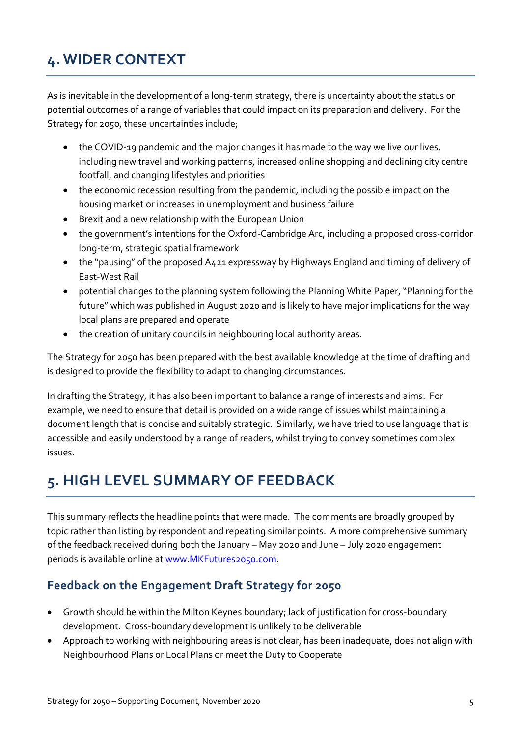## **4. WIDER CONTEXT**

As is inevitable in the development of a long-term strategy, there is uncertainty about the status or potential outcomes of a range of variables that could impact on its preparation and delivery. For the Strategy for 2050, these uncertainties include;

- the COVID-19 pandemic and the major changes it has made to the way we live our lives, including new travel and working patterns, increased online shopping and declining city centre footfall, and changing lifestyles and priorities
- the economic recession resulting from the pandemic, including the possible impact on the housing market or increases in unemployment and business failure
- Brexit and a new relationship with the European Union
- the government's intentions for the Oxford-Cambridge Arc, including a proposed cross-corridor long-term, strategic spatial framework
- the "pausing" of the proposed A421 expressway by Highways England and timing of delivery of East-West Rail
- potential changes to the planning system following the Planning White Paper, "Planning for the future" which was published in August 2020 and is likely to have major implications for the way local plans are prepared and operate
- the creation of unitary councils in neighbouring local authority areas.

The Strategy for 2050 has been prepared with the best available knowledge at the time of drafting and is designed to provide the flexibility to adapt to changing circumstances.

In drafting the Strategy, it has also been important to balance a range of interests and aims. For example, we need to ensure that detail is provided on a wide range of issues whilst maintaining a document length that is concise and suitably strategic. Similarly, we have tried to use language that is accessible and easily understood by a range of readers, whilst trying to convey sometimes complex issues.

# **5. HIGH LEVEL SUMMARY OF FEEDBACK**

This summary reflects the headline points that were made. The comments are broadly grouped by topic rather than listing by respondent and repeating similar points. A more comprehensive summary of the feedback received during both the January – May 2020 and June – July 2020 engagement periods is available online at [www.MKFutures2050.com.](http://www.mkfutures2050.com/)

## **Feedback on the Engagement Draft Strategy for 2050**

- Growth should be within the Milton Keynes boundary; lack of justification for cross-boundary development. Cross-boundary development is unlikely to be deliverable
- Approach to working with neighbouring areas is not clear, has been inadequate, does not align with Neighbourhood Plans or Local Plans or meet the Duty to Cooperate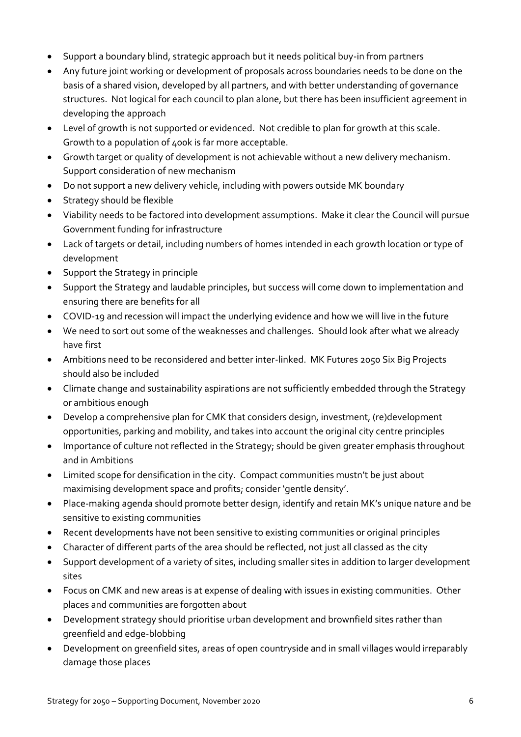- Support a boundary blind, strategic approach but it needs political buy-in from partners
- Any future joint working or development of proposals across boundaries needs to be done on the basis of a shared vision, developed by all partners, and with better understanding of governance structures. Not logical for each council to plan alone, but there has been insufficient agreement in developing the approach
- Level of growth is not supported or evidenced. Not credible to plan for growth at this scale. Growth to a population of 400k is far more acceptable.
- Growth target or quality of development is not achievable without a new delivery mechanism. Support consideration of new mechanism
- Do not support a new delivery vehicle, including with powers outside MK boundary
- Strategy should be flexible
- Viability needs to be factored into development assumptions. Make it clear the Council will pursue Government funding for infrastructure
- Lack of targets or detail, including numbers of homes intended in each growth location or type of development
- Support the Strategy in principle
- Support the Strategy and laudable principles, but success will come down to implementation and ensuring there are benefits for all
- COVID-19 and recession will impact the underlying evidence and how we will live in the future
- We need to sort out some of the weaknesses and challenges. Should look after what we already have first
- Ambitions need to be reconsidered and better inter-linked. MK Futures 2050 Six Big Projects should also be included
- Climate change and sustainability aspirations are not sufficiently embedded through the Strategy or ambitious enough
- Develop a comprehensive plan for CMK that considers design, investment, (re)development opportunities, parking and mobility, and takes into account the original city centre principles
- Importance of culture not reflected in the Strategy; should be given greater emphasis throughout and in Ambitions
- Limited scope for densification in the city. Compact communities mustn't be just about maximising development space and profits; consider 'gentle density'.
- Place-making agenda should promote better design, identify and retain MK's unique nature and be sensitive to existing communities
- Recent developments have not been sensitive to existing communities or original principles
- Character of different parts of the area should be reflected, not just all classed as the city
- Support development of a variety of sites, including smaller sites in addition to larger development sites
- Focus on CMK and new areas is at expense of dealing with issues in existing communities. Other places and communities are forgotten about
- Development strategy should prioritise urban development and brownfield sites rather than greenfield and edge-blobbing
- Development on greenfield sites, areas of open countryside and in small villages would irreparably damage those places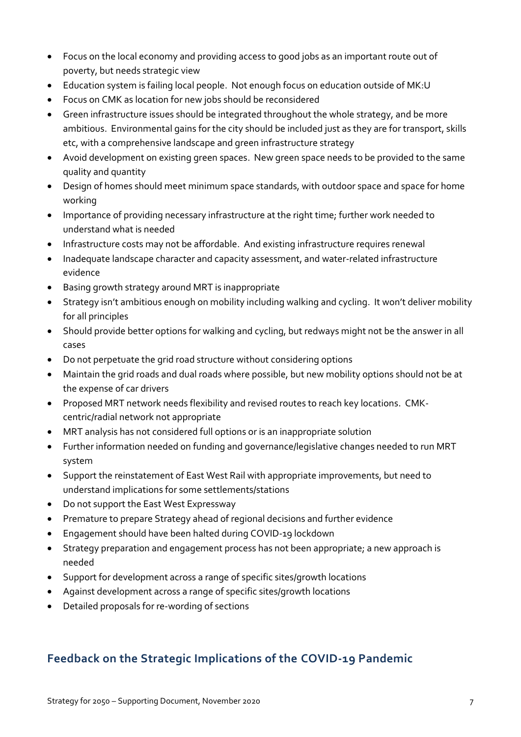- Focus on the local economy and providing access to good jobs as an important route out of poverty, but needs strategic view
- Education system is failing local people. Not enough focus on education outside of MK:U
- Focus on CMK as location for new jobs should be reconsidered
- Green infrastructure issues should be integrated throughout the whole strategy, and be more ambitious. Environmental gains for the city should be included just as they are for transport, skills etc, with a comprehensive landscape and green infrastructure strategy
- Avoid development on existing green spaces. New green space needs to be provided to the same quality and quantity
- Design of homes should meet minimum space standards, with outdoor space and space for home working
- Importance of providing necessary infrastructure at the right time; further work needed to understand what is needed
- Infrastructure costs may not be affordable. And existing infrastructure requires renewal
- Inadequate landscape character and capacity assessment, and water-related infrastructure evidence
- Basing growth strategy around MRT is inappropriate
- Strategy isn't ambitious enough on mobility including walking and cycling. It won't deliver mobility for all principles
- Should provide better options for walking and cycling, but redways might not be the answer in all cases
- Do not perpetuate the grid road structure without considering options
- Maintain the grid roads and dual roads where possible, but new mobility options should not be at the expense of car drivers
- Proposed MRT network needs flexibility and revised routes to reach key locations. CMKcentric/radial network not appropriate
- MRT analysis has not considered full options or is an inappropriate solution
- Further information needed on funding and governance/legislative changes needed to run MRT system
- Support the reinstatement of East West Rail with appropriate improvements, but need to understand implications for some settlements/stations
- Do not support the East West Expressway
- Premature to prepare Strategy ahead of regional decisions and further evidence
- Engagement should have been halted during COVID-19 lockdown
- Strategy preparation and engagement process has not been appropriate; a new approach is needed
- Support for development across a range of specific sites/growth locations
- Against development across a range of specific sites/growth locations
- Detailed proposals for re-wording of sections

### **Feedback on the Strategic Implications of the COVID-19 Pandemic**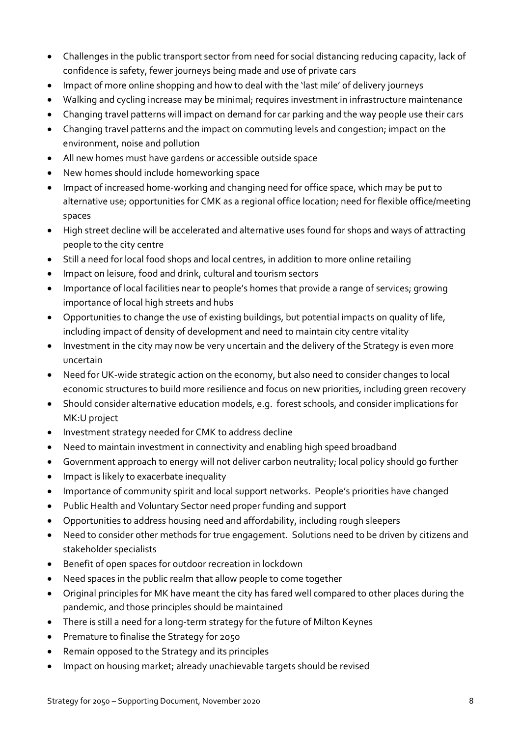- Challenges in the public transport sector from need for social distancing reducing capacity, lack of confidence is safety, fewer journeys being made and use of private cars
- Impact of more online shopping and how to deal with the 'last mile' of delivery journeys
- Walking and cycling increase may be minimal; requires investment in infrastructure maintenance
- Changing travel patterns will impact on demand for car parking and the way people use their cars
- Changing travel patterns and the impact on commuting levels and congestion; impact on the environment, noise and pollution
- All new homes must have gardens or accessible outside space
- New homes should include homeworking space
- Impact of increased home-working and changing need for office space, which may be put to alternative use; opportunities for CMK as a regional office location; need for flexible office/meeting spaces
- High street decline will be accelerated and alternative uses found for shops and ways of attracting people to the city centre
- Still a need for local food shops and local centres, in addition to more online retailing
- Impact on leisure, food and drink, cultural and tourism sectors
- Importance of local facilities near to people's homes that provide a range of services; growing importance of local high streets and hubs
- Opportunities to change the use of existing buildings, but potential impacts on quality of life, including impact of density of development and need to maintain city centre vitality
- Investment in the city may now be very uncertain and the delivery of the Strategy is even more uncertain
- Need for UK-wide strategic action on the economy, but also need to consider changes to local economic structures to build more resilience and focus on new priorities, including green recovery
- Should consider alternative education models, e.g. forest schools, and consider implications for MK:U project
- Investment strategy needed for CMK to address decline
- Need to maintain investment in connectivity and enabling high speed broadband
- Government approach to energy will not deliver carbon neutrality; local policy should go further
- Impact is likely to exacerbate inequality
- Importance of community spirit and local support networks. People's priorities have changed
- Public Health and Voluntary Sector need proper funding and support
- Opportunities to address housing need and affordability, including rough sleepers
- Need to consider other methods for true engagement. Solutions need to be driven by citizens and stakeholder specialists
- Benefit of open spaces for outdoor recreation in lockdown
- Need spaces in the public realm that allow people to come together
- Original principles for MK have meant the city has fared well compared to other places during the pandemic, and those principles should be maintained
- There is still a need for a long-term strategy for the future of Milton Keynes
- Premature to finalise the Strategy for 2050
- Remain opposed to the Strategy and its principles
- Impact on housing market; already unachievable targets should be revised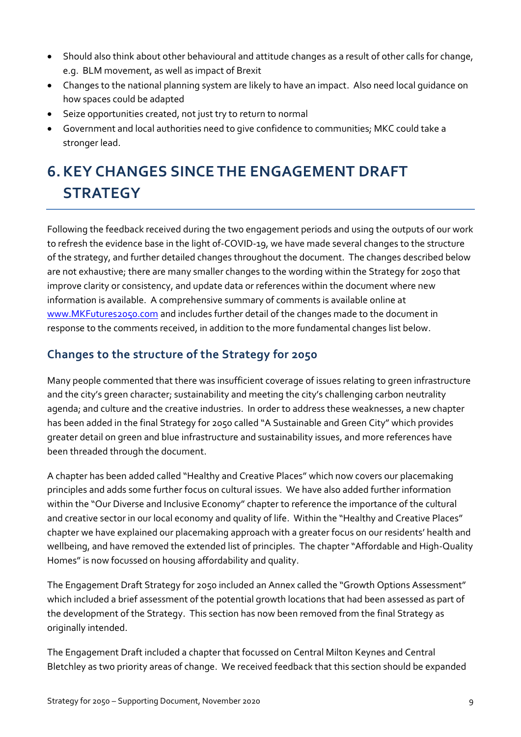- Should also think about other behavioural and attitude changes as a result of other calls for change, e.g. BLM movement, as well as impact of Brexit
- Changes to the national planning system are likely to have an impact. Also need local guidance on how spaces could be adapted
- Seize opportunities created, not just try to return to normal
- Government and local authorities need to give confidence to communities; MKC could take a stronger lead.

# **6.KEY CHANGES SINCE THE ENGAGEMENT DRAFT STRATEGY**

Following the feedback received during the two engagement periods and using the outputs of our work to refresh the evidence base in the light of-COVID-19, we have made several changes to the structure of the strategy, and further detailed changes throughout the document. The changes described below are not exhaustive; there are many smaller changes to the wording within the Strategy for 2050 that improve clarity or consistency, and update data or references within the document where new information is available. A comprehensive summary of comments is available online at [www.MKFutures2050.com](http://www.mkfutures2050.com/) and includes further detail of the changes made to the document in response to the comments received, in addition to the more fundamental changes list below.

### **Changes to the structure of the Strategy for 2050**

Many people commented that there was insufficient coverage of issues relating to green infrastructure and the city's green character; sustainability and meeting the city's challenging carbon neutrality agenda; and culture and the creative industries. In order to address these weaknesses, a new chapter has been added in the final Strategy for 2050 called "A Sustainable and Green City" which provides greater detail on green and blue infrastructure and sustainability issues, and more references have been threaded through the document.

A chapter has been added called "Healthy and Creative Places" which now covers our placemaking principles and adds some further focus on cultural issues. We have also added further information within the "Our Diverse and Inclusive Economy" chapter to reference the importance of the cultural and creative sector in our local economy and quality of life. Within the "Healthy and Creative Places" chapter we have explained our placemaking approach with a greater focus on our residents' health and wellbeing, and have removed the extended list of principles. The chapter "Affordable and High-Quality Homes" is now focussed on housing affordability and quality.

The Engagement Draft Strategy for 2050 included an Annex called the "Growth Options Assessment" which included a brief assessment of the potential growth locations that had been assessed as part of the development of the Strategy. This section has now been removed from the final Strategy as originally intended.

The Engagement Draft included a chapter that focussed on Central Milton Keynes and Central Bletchley as two priority areas of change. We received feedback that this section should be expanded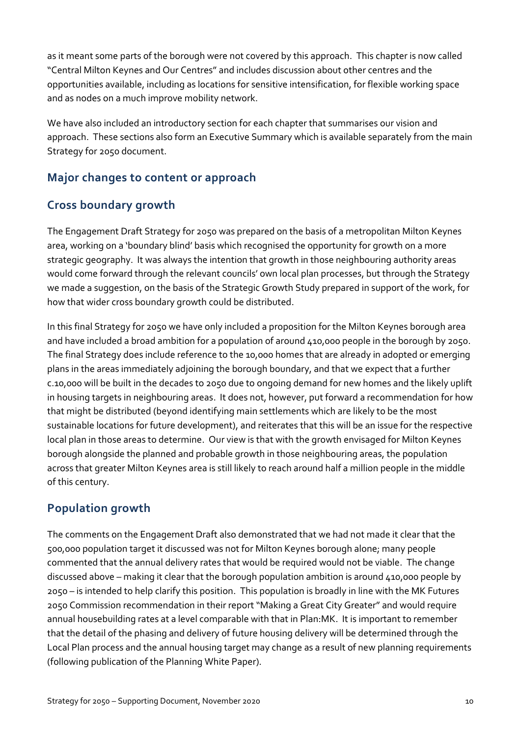as it meant some parts of the borough were not covered by this approach. This chapter is now called "Central Milton Keynes and Our Centres" and includes discussion about other centres and the opportunities available, including as locations for sensitive intensification, for flexible working space and as nodes on a much improve mobility network.

We have also included an introductory section for each chapter that summarises our vision and approach. These sections also form an Executive Summary which is available separately from the main Strategy for 2050 document.

### **Major changes to content or approach**

### **Cross boundary growth**

The Engagement Draft Strategy for 2050 was prepared on the basis of a metropolitan Milton Keynes area, working on a 'boundary blind' basis which recognised the opportunity for growth on a more strategic geography. It was always the intention that growth in those neighbouring authority areas would come forward through the relevant councils' own local plan processes, but through the Strategy we made a suggestion, on the basis of the Strategic Growth Study prepared in support of the work, for how that wider cross boundary growth could be distributed.

In this final Strategy for 2050 we have only included a proposition for the Milton Keynes borough area and have included a broad ambition for a population of around 410,000 people in the borough by 2050. The final Strategy does include reference to the 10,000 homes that are already in adopted or emerging plans in the areas immediately adjoining the borough boundary, and that we expect that a further c.10,000 will be built in the decades to 2050 due to ongoing demand for new homes and the likely uplift in housing targets in neighbouring areas. It does not, however, put forward a recommendation for how that might be distributed (beyond identifying main settlements which are likely to be the most sustainable locations for future development), and reiterates that this will be an issue for the respective local plan in those areas to determine. Our view is that with the growth envisaged for Milton Keynes borough alongside the planned and probable growth in those neighbouring areas, the population across that greater Milton Keynes area is still likely to reach around half a million people in the middle of this century.

## **Population growth**

The comments on the Engagement Draft also demonstrated that we had not made it clear that the 500,000 population target it discussed was not for Milton Keynes borough alone; many people commented that the annual delivery rates that would be required would not be viable. The change discussed above – making it clear that the borough population ambition is around 410,000 people by 2050 – is intended to help clarify this position. This population is broadly in line with the MK Futures 2050 Commission recommendation in their report "Making a Great City Greater" and would require annual housebuilding rates at a level comparable with that in Plan:MK. It is important to remember that the detail of the phasing and delivery of future housing delivery will be determined through the Local Plan process and the annual housing target may change as a result of new planning requirements (following publication of the Planning White Paper).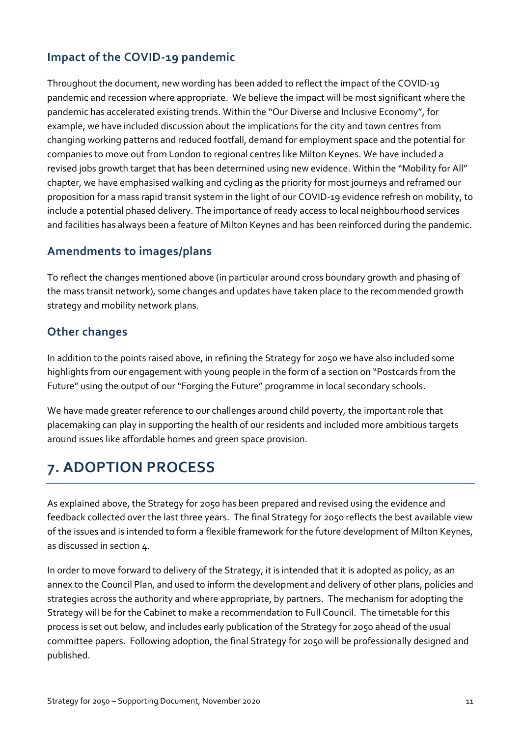## **Impact of the COVID-19 pandemic**

Throughout the document, new wording has been added to reflect the impact of the COVID-19 pandemic and recession where appropriate. We believe the impact will be most significant where the pandemic has accelerated existing trends. Within the "Our Diverse and Inclusive Economy", for example, we have included discussion about the implications for the city and town centres from changing working patterns and reduced footfall, demand for employment space and the potential for companies to move out from London to regional centres like Milton Keynes. We have included a revised jobs growth target that has been determined using new evidence. Within the "Mobility for All" chapter, we have emphasised walking and cycling as the priority for most journeys and reframed our proposition for a mass rapid transit system in the light of our COVID-19 evidence refresh on mobility, to include a potential phased delivery. The importance of ready access to local neighbourhood services and facilities has always been a feature of Milton Keynes and has been reinforced during the pandemic.

#### **Amendments to images/plans**

To reflect the changes mentioned above (in particular around cross boundary growth and phasing of the mass transit network), some changes and updates have taken place to the recommended growth strategy and mobility network plans.

#### **Other changes**

In addition to the points raised above, in refining the Strategy for 2050 we have also included some highlights from our engagement with young people in the form of a section on "Postcards from the Future" using the output of our "Forging the Future" programme in local secondary schools.

We have made greater reference to our challenges around child poverty, the important role that placemaking can play in supporting the health of our residents and included more ambitious targets around issues like affordable homes and green space provision.

## **7. ADOPTION PROCESS**

As explained above, the Strategy for 2050 has been prepared and revised using the evidence and feedback collected over the last three years. The final Strategy for 2050 reflects the best available view of the issues and is intended to form a flexible framework for the future development of Milton Keynes, as discussed in section 4.

In order to move forward to delivery of the Strategy, it is intended that it is adopted as policy, as an annex to the Council Plan, and used to inform the development and delivery of other plans, policies and strategies across the authority and where appropriate, by partners. The mechanism for adopting the Strategy will be for the Cabinet to make a recommendation to Full Council. The timetable for this process is set out below, and includes early publication of the Strategy for 2050 ahead of the usual committee papers. Following adoption, the final Strategy for 2050 will be professionally designed and published.